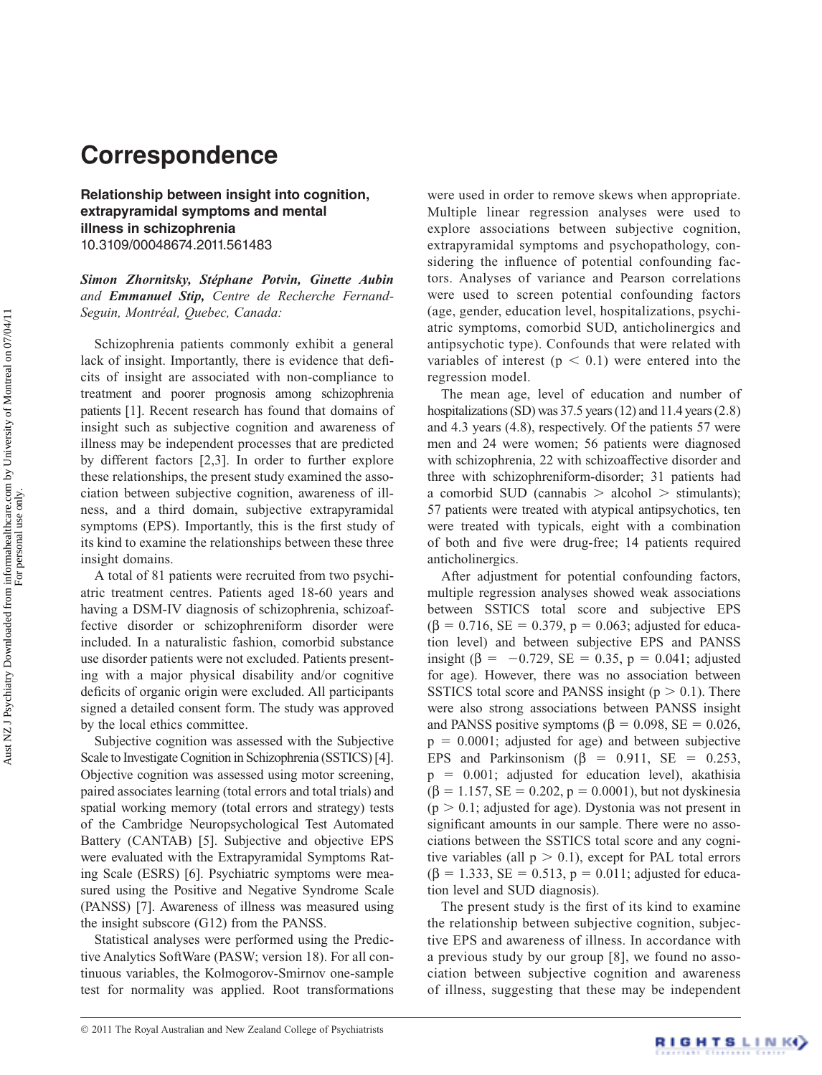## **Correspondence**

**Relationship between insight into cognition, extrapyramidal symptoms and mental illness in schizophrenia**  10.3109/00048674.2011.561483

*Simon Zhornitsky, St é phane Potvin, Ginette Aubin and Emmanuel Stip, Centre de Recherche Fernand-Seguin, Montr é al, Quebec, Canada:*

 Schizophrenia patients commonly exhibit a general lack of insight. Importantly, there is evidence that deficits of insight are associated with non-compliance to treatment and poorer prognosis among schizophrenia patients [1]. Recent research has found that domains of insight such as subjective cognition and awareness of illness may be independent processes that are predicted by different factors [2,3]. In order to further explore these relationships, the present study examined the association between subjective cognition, awareness of illness, and a third domain, subjective extrapyramidal symptoms (EPS). Importantly, this is the first study of its kind to examine the relationships between these three insight domains.

 A total of 81 patients were recruited from two psychiatric treatment centres. Patients aged 18-60 years and having a DSM-IV diagnosis of schizophrenia, schizoaffective disorder or schizophreniform disorder were included. In a naturalistic fashion, comorbid substance use disorder patients were not excluded. Patients presenting with a major physical disability and/or cognitive deficits of organic origin were excluded. All participants signed a detailed consent form. The study was approved by the local ethics committee.

 Subjective cognition was assessed with the Subjective Scale to Investigate Cognition in Schizophrenia (SSTICS) [4]. Objective cognition was assessed using motor screening, paired associates learning (total errors and total trials) and spatial working memory (total errors and strategy) tests of the Cambridge Neuropsychological Test Automated Battery (CANTAB) [5]. Subjective and objective EPS were evaluated with the Extrapyramidal Symptoms Rating Scale (ESRS) [6]. Psychiatric symptoms were measured using the Positive and Negative Syndrome Scale (PANSS) [7]. Awareness of illness was measured using the insight subscore (G12) from the PANSS.

 Statistical analyses were performed using the Predictive Analytics SoftWare (PASW; version 18). For all continuous variables, the Kolmogorov-Smirnov one-sample test for normality was applied. Root transformations were used in order to remove skews when appropriate. Multiple linear regression analyses were used to explore associations between subjective cognition, extrapyramidal symptoms and psychopathology, considering the influence of potential confounding factors. Analyses of variance and Pearson correlations were used to screen potential confounding factors (age, gender, education level, hospitalizations, psychiatric symptoms, comorbid SUD, anticholinergics and antipsychotic type). Confounds that were related with variables of interest ( $p < 0.1$ ) were entered into the regression model.

 The mean age, level of education and number of hospitalizations (SD) was 37.5 years (12) and 11.4 years (2.8) and 4.3 years (4.8), respectively. Of the patients 57 were men and 24 were women; 56 patients were diagnosed with schizophrenia, 22 with schizoaffective disorder and three with schizophreniform-disorder; 31 patients had a comorbid SUD (cannabis  $>$  alcohol  $>$  stimulants); 57 patients were treated with atypical antipsychotics, ten were treated with typicals, eight with a combination of both and five were drug-free; 14 patients required anticholinergics.

 After adjustment for potential confounding factors, multiple regression analyses showed weak associations between SSTICS total score and subjective EPS  $(\beta = 0.716, SE = 0.379, p = 0.063;$  adjusted for education level) and between subjective EPS and PANSS insight (β = -0.729, SE = 0.35, p = 0.041; adjusted for age). However, there was no association between SSTICS total score and PANSS insight ( $p > 0.1$ ). There were also strong associations between PANSS insight and PANSS positive symptoms ( $\beta = 0.098$ , SE = 0.026,  $p = 0.0001$ ; adjusted for age) and between subjective EPS and Parkinsonism  $(\beta = 0.911, \text{ SE} = 0.253,$  $p = 0.001$ ; adjusted for education level), akathisia  $(\beta = 1.157, SE = 0.202, p = 0.0001)$ , but not dyskinesia  $(p > 0.1;$  adjusted for age). Dystonia was not present in significant amounts in our sample. There were no associations between the SSTICS total score and any cognitive variables (all  $p > 0.1$ ), except for PAL total errors  $(\beta = 1.333, SE = 0.513, p = 0.011;$  adjusted for education level and SUD diagnosis).

The present study is the first of its kind to examine the relationship between subjective cognition, subjective EPS and awareness of illness. In accordance with a previous study by our group [8], we found no association between subjective cognition and awareness of illness, suggesting that these may be independent